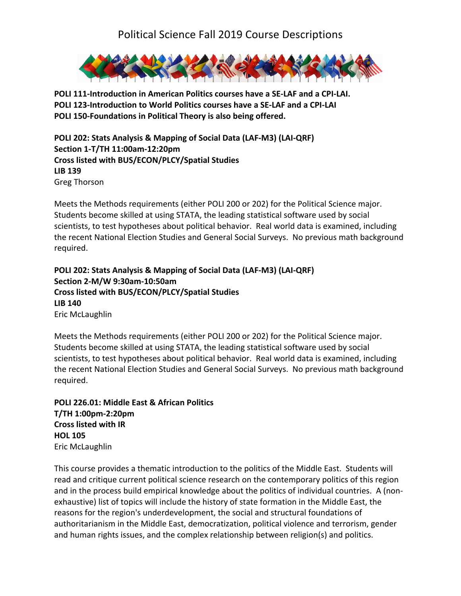

**POLI 111-Introduction in American Politics courses have a SE-LAF and a CPI-LAI. POLI 123-Introduction to World Politics courses have a SE-LAF and a CPI-LAI POLI 150-Foundations in Political Theory is also being offered.** 

**POLI 202: Stats Analysis & Mapping of Social Data (LAF-M3) (LAI-QRF) Section 1-T/TH 11:00am-12:20pm Cross listed with BUS/ECON/PLCY/Spatial Studies LIB 139** Greg Thorson

Meets the Methods requirements (either POLI 200 or 202) for the Political Science major. Students become skilled at using STATA, the leading statistical software used by social scientists, to test hypotheses about political behavior. Real world data is examined, including the recent National Election Studies and General Social Surveys. No previous math background required.

**POLI 202: Stats Analysis & Mapping of Social Data (LAF-M3) (LAI-QRF) Section 2-M/W 9:30am-10:50am Cross listed with BUS/ECON/PLCY/Spatial Studies LIB 140** Eric McLaughlin

Meets the Methods requirements (either POLI 200 or 202) for the Political Science major. Students become skilled at using STATA, the leading statistical software used by social scientists, to test hypotheses about political behavior. Real world data is examined, including the recent National Election Studies and General Social Surveys. No previous math background required.

**POLI 226.01: Middle East & African Politics T/TH 1:00pm-2:20pm Cross listed with IR HOL 105** Eric McLaughlin

This course provides a thematic introduction to the politics of the Middle East. Students will read and critique current political science research on the contemporary politics of this region and in the process build empirical knowledge about the politics of individual countries. A (nonexhaustive) list of topics will include the history of state formation in the Middle East, the reasons for the region's underdevelopment, the social and structural foundations of authoritarianism in the Middle East, democratization, political violence and terrorism, gender and human rights issues, and the complex relationship between religion(s) and politics.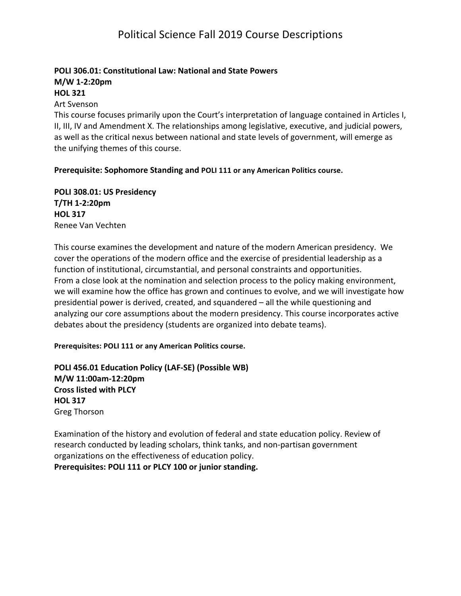#### **POLI 306.01: Constitutional Law: National and State Powers M/W 1-2:20pm HOL 321**

#### **Art Svenson**

This course focuses primarily upon the Court's interpretation of language contained in Articles I, II, III, IV and Amendment X. The relationships among legislative, executive, and judicial powers, as well as the critical nexus between national and state levels of government, will emerge as the unifying themes of this course.

**Prerequisite: Sophomore Standing and POLI 111 or any American Politics course.** 

**POLI 308.01: US Presidency T/TH 1-2:20pm HOL 317** Renee Van Vechten

This course examines the development and nature of the modern American presidency. We cover the operations of the modern office and the exercise of presidential leadership as a function of institutional, circumstantial, and personal constraints and opportunities. From a close look at the nomination and selection process to the policy making environment, we will examine how the office has grown and continues to evolve, and we will investigate how presidential power is derived, created, and squandered  $-$  all the while questioning and analyzing our core assumptions about the modern presidency. This course incorporates active debates about the presidency (students are organized into debate teams).

Prerequisites: POLI 111 or any American Politics course.

**POLI 456.01 Education Policy (LAF-SE) (Possible WB) M/W 11:00am-12:20pm Cross listed with PLCY HOL 317** Greg Thorson

Examination of the history and evolution of federal and state education policy. Review of research conducted by leading scholars, think tanks, and non-partisan government organizations on the effectiveness of education policy.

Prerequisites: POLI 111 or PLCY 100 or junior standing.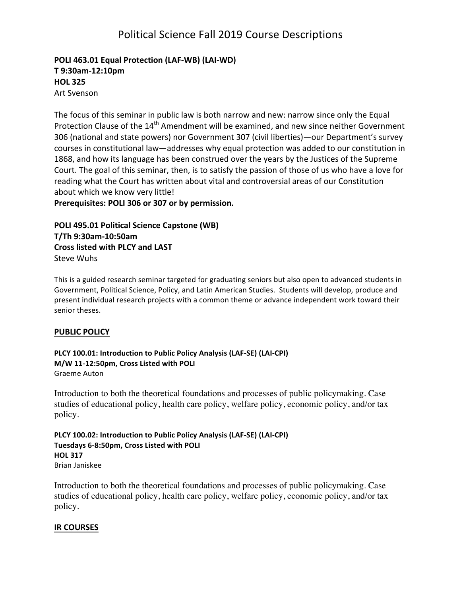## **POLI 463.01 Equal Protection (LAF-WB) (LAI-WD) T 9:30am-12:10pm HOL 325** Art Svenson

The focus of this seminar in public law is both narrow and new: narrow since only the Equal Protection Clause of the  $14<sup>th</sup>$  Amendment will be examined, and new since neither Government 306 (national and state powers) nor Government 307 (civil liberties)—our Department's survey courses in constitutional law—addresses why equal protection was added to our constitution in 1868, and how its language has been construed over the years by the Justices of the Supreme Court. The goal of this seminar, then, is to satisfy the passion of those of us who have a love for reading what the Court has written about vital and controversial areas of our Constitution about which we know very little!

Prerequisites: POLI 306 or 307 or by permission.

**POLI 495.01 Political Science Capstone (WB) T/Th 9:30am-10:50am Cross listed with PLCY and LAST** Steve Wuhs

This is a guided research seminar targeted for graduating seniors but also open to advanced students in Government, Political Science, Policy, and Latin American Studies. Students will develop, produce and present individual research projects with a common theme or advance independent work toward their senior theses.

#### **PUBLIC POLICY**

**PLCY 100.01: Introduction to Public Policy Analysis (LAF-SE) (LAI-CPI) M/W 11-12:50pm, Cross Listed with POLI** Graeme Auton

Introduction to both the theoretical foundations and processes of public policymaking. Case studies of educational policy, health care policy, welfare policy, economic policy, and/or tax policy.

**PLCY 100.02: Introduction to Public Policy Analysis (LAF-SE) (LAI-CPI)** Tuesdays 6-8:50pm, Cross Listed with POLI **HOL 317** Brian Janiskee

Introduction to both the theoretical foundations and processes of public policymaking. Case studies of educational policy, health care policy, welfare policy, economic policy, and/or tax policy.

#### **IR COURSES**